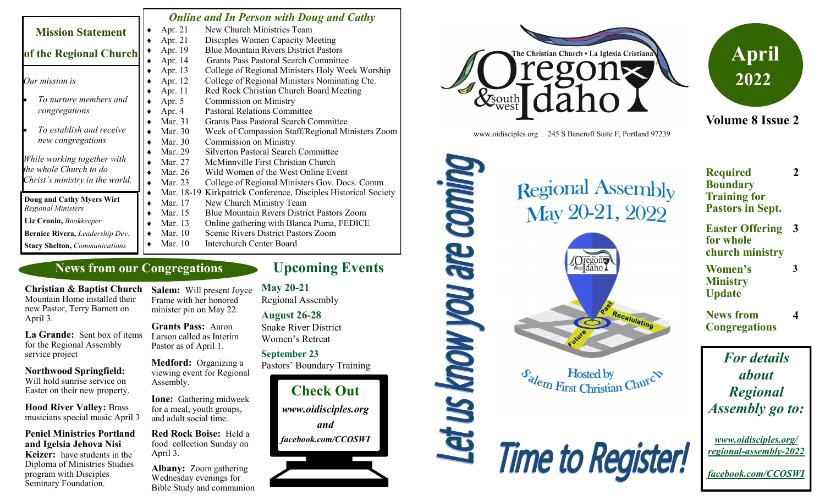|                                                        |   |            | <b>Online and In Person with Doug and Cathy</b>      |
|--------------------------------------------------------|---|------------|------------------------------------------------------|
| <b>Mission Statement</b>                               |   | Apr. 21    | New Church Ministries Team                           |
|                                                        |   | Apr. 21    | Disciples Women Capacity Meeting                     |
| of the Regional Church                                 |   | Apr. 19    | <b>Blue Mountain Rivers District Pastors</b>         |
|                                                        |   | Apr. 14    | Grants Pass Pastoral Search Committee                |
|                                                        |   | Apr. 13    | College of Regional Ministers Holy Week Worship      |
| Our mission is                                         |   | Apr. 12    | College of Regional Ministers Nominating Cte.        |
|                                                        |   | Apr. 11    | Red Rock Christian Church Board Meeting              |
| To nurture members and                                 |   | Apr. 5     | <b>Commission on Ministry</b>                        |
| congregations                                          |   | Apr. 4     | <b>Pastoral Relations Committee</b>                  |
|                                                        |   | Mar. 31    | <b>Grants Pass Pastoral Search Committee</b>         |
| To establish and receive                               |   | Mar. 30    | Week of Compassion Staff/Regional Ministers Zoom     |
| new congregations                                      |   | Mar. 30    | <b>Commission on Ministry</b>                        |
|                                                        |   | Mar. 29    | <b>Silverton Pastoral Search Committee</b>           |
| While working together with                            |   | Mar. 27    | McMinnville First Christian Church                   |
| the whole Church to do                                 |   | Mar. 26    | Wild Women of the West Online Event                  |
| Christ's ministry in the world.                        |   | Mar. 23    | College of Regional Ministers Gov. Docs. Comm        |
|                                                        | ٠ | Mar. 18-19 | Kirkpatrick Conference, Disciples Historical Society |
| Doug and Cathy Myers Wirt<br><b>Regional Ministers</b> |   | Mar. 17    | New Church Ministry Team                             |
|                                                        |   | Mar. 15    | <b>Blue Mountain Rivers District Pastors Zoom</b>    |
| Liz Cronin, Bookkeeper                                 |   | Mar. 13    | Online gathering with Blanca Puma, FEDICE            |
| Bernice Rivera, Leadership Dev.                        |   | Mar. 10    | Scenic Rivers District Pastors Zoom                  |
| <b>Stacy Shelton, Communications</b>                   |   | Mar. 10    | Interchurch Center Board                             |

### **News from our Congregations**

**Christian & Baptist Church**  Mountain Home installed their new Pastor, Terry Barnett on

April 3. **La Grande:** Sent box of items for the Regional Assembly

**Northwood Springfield:**  Will hold sunrise service on Easter on their new property.

service project

**Hood River Valley:** Brass musicians special music April 3

**Peniel Ministries Portland and Igelsia Jehova Nisi Keizer:** have students in the Diploma of Ministries Studies program with Disciples Seminary Foundation.

**Salem:** Will present Joyce Frame with her honored minister pin on May 22.

**Grants Pass:** Aaron Larson called as Interim Pastor as of April 1.

**Medford:** Organizing a viewing event for Regional Assembly.

**Ione:** Gathering midweek for a meal, youth groups, and adult social time.

**Red Rock Boise:** Held a food collection Sunday on April 3.

**Albany:** Zoom gathering Wednesday evenings for Bible Study and communion

## **Upcoming Events**

Let us know you are coming

**May 20-21** Regional Assembly

### **August 26-28**

Snake River District Women's Retreat

### **September 23**

Pastors' Boundary Training







www.oidisciples.org 245 S Bancroft Suite F, Portland 97239

# **Regional Assembly** May 20-21, 2022



 $\mathcal{F}_{\text{a}}$  Hosted by<br>First Christian Churc $\infty$ **Hosted by** 



| <b>Required</b>         | <sup>2</sup> |
|-------------------------|--------------|
| <b>Boundary</b>         |              |
| <b>Training for</b>     |              |
| <b>Pastors in Sept.</b> |              |

**Easter Offering 3 for whole church ministry**

**3**

- **Women's Ministry Update**
- **News from Congregations 4**

*For details about Regional Assembly go to:*

*www.oidisciples.org/ regional-assembly-2022*

*facebook.com/CCOSWI*